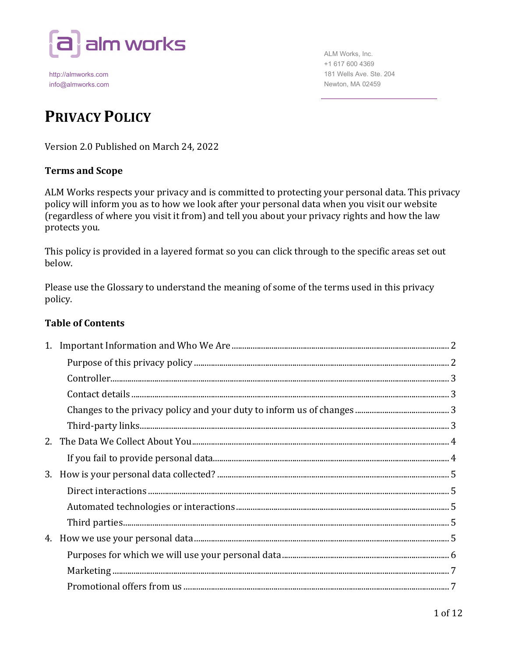

http://almworks.com info@almworks.com

#### ALM Works, Inc. +1 617 600 4369 181 Wells Ave. Ste. 204 Newton, MA 02459

# **PRIVACY POLICY**

Version 2.0 Published on March 24, 2022

## **Terms and Scope**

ALM Works respects your privacy and is committed to protecting your personal data. This privacy policy will inform you as to how we look after your personal data when you visit our website (regardless of where you visit it from) and tell you about your privacy rights and how the law protects you.

This policy is provided in a layered format so you can click through to the specific areas set out below.

Please use the Glossary to understand the meaning of some of the terms used in this privacy policy.

## **Table of Contents**

| 1. |  |
|----|--|
|    |  |
|    |  |
|    |  |
|    |  |
|    |  |
|    |  |
|    |  |
|    |  |
|    |  |
|    |  |
|    |  |
|    |  |
|    |  |
|    |  |
|    |  |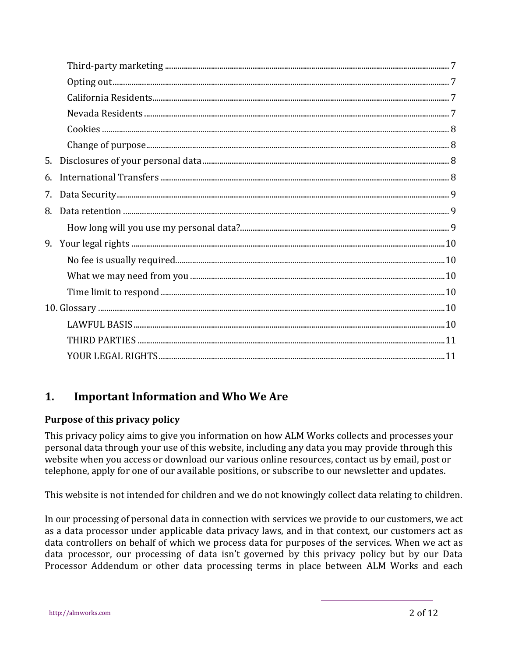| 6. |  |
|----|--|
| 7. |  |
| 8. |  |
|    |  |
|    |  |
|    |  |
|    |  |
|    |  |
|    |  |
|    |  |
|    |  |
|    |  |

## <span id="page-1-0"></span>**1. Important Information and Who We Are**

## <span id="page-1-1"></span>**Purpose of this privacy policy**

This privacy policy aims to give you information on how ALM Works collects and processes your personal data through your use of this website, including any data you may provide through this website when you access or download our various online resources, contact us by email, post or telephone, apply for one of our available positions, or subscribe to our newsletter and updates.

This website is not intended for children and we do not knowingly collect data relating to children.

In our processing of personal data in connection with services we provide to our customers, we act as a data processor under applicable data privacy laws, and in that context, our customers act as data controllers on behalf of which we process data for purposes of the services. When we act as data processor, our processing of data isn't governed by this privacy policy but by our Data Processor Addendum or other data processing terms in place between ALM Works and each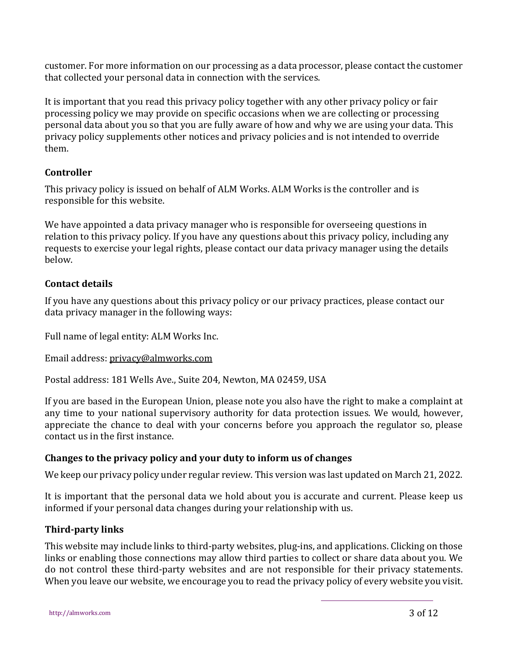customer. For more information on our processing as a data processor, please contact the customer that collected your personal data in connection with the services.

It is important that you read this privacy policy together with any other privacy policy or fair processing policy we may provide on specific occasions when we are collecting or processing personal data about you so that you are fully aware of how and why we are using your data. This privacy policy supplements other notices and privacy policies and is not intended to override them.

## <span id="page-2-0"></span>**Controller**

This privacy policy is issued on behalf of ALM Works. ALM Works is the controller and is responsible for this website.

We have appointed a data privacy manager who is responsible for overseeing questions in relation to this privacy policy. If you have any questions about this privacy policy, including any requests to exercise your legal rights, please contact our data privacy manager using the details below.

## <span id="page-2-1"></span>**Contact details**

If you have any questions about this privacy policy or our privacy practices, please contact our data privacy manager in the following ways:

Full name of legal entity: ALM Works Inc.

Email address: [privacy@almworks.com](mailto:privacy@almworks.com)

Postal address: 181 Wells Ave., Suite 204, Newton, MA 02459, USA

If you are based in the European Union, please note you also have the right to make a complaint at any time to your national supervisory authority for data protection issues. We would, however, appreciate the chance to deal with your concerns before you approach the regulator so, please contact us in the first instance.

## <span id="page-2-2"></span>**Changes to the privacy policy and your duty to inform us of changes**

We keep our privacy policy under regular review. This version was last updated on March 21, 2022.

It is important that the personal data we hold about you is accurate and current. Please keep us informed if your personal data changes during your relationship with us.

## <span id="page-2-3"></span>**Third-party links**

This website may include links to third-party websites, plug-ins, and applications. Clicking on those links or enabling those connections may allow third parties to collect or share data about you. We do not control these third-party websites and are not responsible for their privacy statements. When you leave our website, we encourage you to read the privacy policy of every website you visit.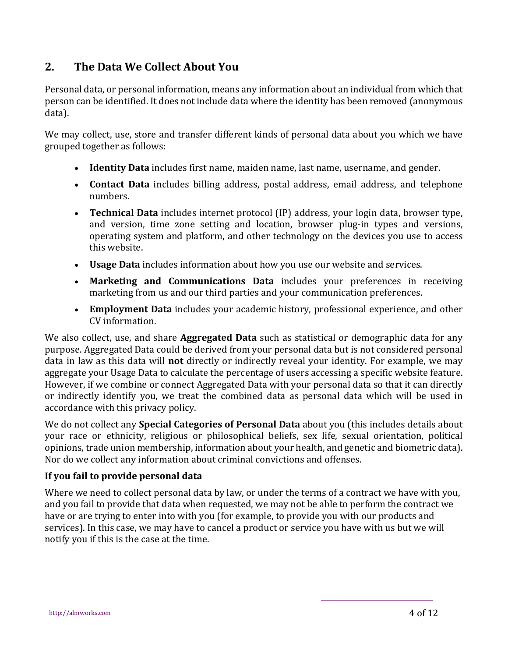## <span id="page-3-0"></span>**2. The Data We Collect About You**

Personal data, or personal information, means any information about an individual from which that person can be identified. It does not include data where the identity has been removed (anonymous data).

We may collect, use, store and transfer different kinds of personal data about you which we have grouped together as follows:

- **Identity Data** includes first name, maiden name, last name, username, and gender.
- **Contact Data** includes billing address, postal address, email address, and telephone numbers.
- **Technical Data** includes internet protocol (IP) address, your login data, browser type, and version, time zone setting and location, browser plug-in types and versions, operating system and platform, and other technology on the devices you use to access this website.
- **Usage Data** includes information about how you use our website and services.
- **Marketing and Communications Data** includes your preferences in receiving marketing from us and our third parties and your communication preferences.
- **Employment Data** includes your academic history, professional experience, and other CV information.

We also collect, use, and share **Aggregated Data** such as statistical or demographic data for any purpose. Aggregated Data could be derived from your personal data but is not considered personal data in law as this data will **not** directly or indirectly reveal your identity. For example, we may aggregate your Usage Data to calculate the percentage of users accessing a specific website feature. However, if we combine or connect Aggregated Data with your personal data so that it can directly or indirectly identify you, we treat the combined data as personal data which will be used in accordance with this privacy policy.

We do not collect any **Special Categories of Personal Data** about you (this includes details about your race or ethnicity, religious or philosophical beliefs, sex life, sexual orientation, political opinions, trade union membership, information about your health, and genetic and biometric data). Nor do we collect any information about criminal convictions and offenses.

### <span id="page-3-1"></span>**If you fail to provide personal data**

Where we need to collect personal data by law, or under the terms of a contract we have with you, and you fail to provide that data when requested, we may not be able to perform the contract we have or are trying to enter into with you (for example, to provide you with our products and services). In this case, we may have to cancel a product or service you have with us but we will notify you if this is the case at the time.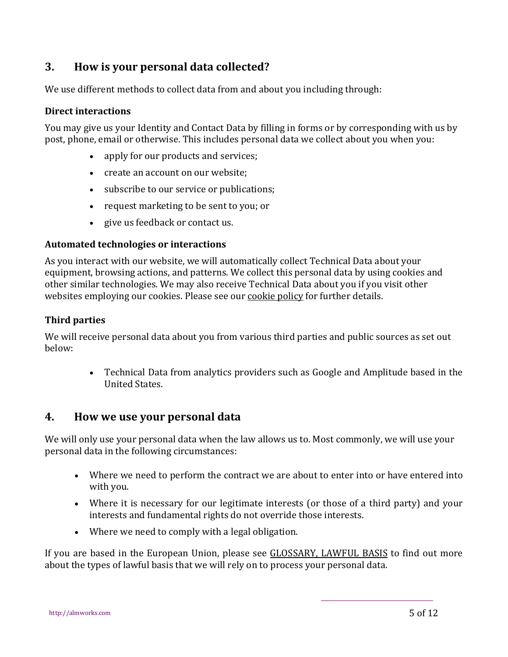## <span id="page-4-0"></span>**3. How is your personal data collected?**

We use different methods to collect data from and about you including through:

### <span id="page-4-1"></span>**Direct interactions**

You may give us your Identity and Contact Data by filling in forms or by corresponding with us by post, phone, email or otherwise. This includes personal data we collect about you when you:

- apply for our products and services;
- create an account on our website;
- subscribe to our service or publications;
- request marketing to be sent to you; or
- give us feedback or contact us.

### <span id="page-4-2"></span>**Automated technologies or interactions**

As you interact with our website, we will automatically collect Technical Data about your equipment, browsing actions, and patterns. We collect this personal data by using cookies and other similar technologies. We may also receive Technical Data about you if you visit other websites employing our cookies. Please see ou[r cookie policy](https://almworks.com/company/legal/privacy.html) for further details.

## <span id="page-4-3"></span>**Third parties**

We will receive personal data about you from various third parties and public sources as set out below:

> • Technical Data from analytics providers such as Google and Amplitude based in the United States.

## <span id="page-4-4"></span>**4. How we use your personal data**

We will only use your personal data when the law allows us to. Most commonly, we will use your personal data in the following circumstances:

- Where we need to perform the contract we are about to enter into or have entered into with you.
- Where it is necessary for our legitimate interests (or those of a third party) and your interests and fundamental rights do not override those interests.
- Where we need to comply with a legal obligation.

If you are based in the European Union, please see [GLOSSARY, LAWFUL BASIS](https://docs.google.com/document/d/1keo7qyOhApmax9qspAlHB35v2F0f0Eda/edit#bookmark=id.4k668n3) to find out more about the types of lawful basis that we will rely on to process your personal data.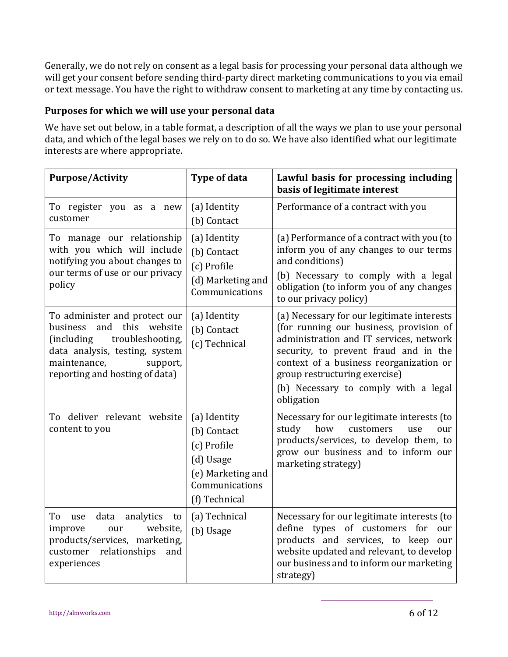Generally, we do not rely on consent as a legal basis for processing your personal data although we will get your consent before sending third-party direct marketing communications to you via email or text message. You have the right to withdraw consent to marketing at any time by contacting us.

## <span id="page-5-0"></span>**Purposes for which we will use your personal data**

We have set out below, in a table format, a description of all the ways we plan to use your personal data, and which of the legal bases we rely on to do so. We have also identified what our legitimate interests are where appropriate.

| <b>Purpose/Activity</b>                                                                                                                                                                          | <b>Type of data</b>                                                                                             | Lawful basis for processing including<br>basis of legitimate interest                                                                                                                                                                                                                                       |
|--------------------------------------------------------------------------------------------------------------------------------------------------------------------------------------------------|-----------------------------------------------------------------------------------------------------------------|-------------------------------------------------------------------------------------------------------------------------------------------------------------------------------------------------------------------------------------------------------------------------------------------------------------|
| To register you as a new<br>customer                                                                                                                                                             | (a) Identity<br>(b) Contact                                                                                     | Performance of a contract with you                                                                                                                                                                                                                                                                          |
| To manage our relationship<br>with you which will include<br>notifying you about changes to<br>our terms of use or our privacy<br>policy                                                         | (a) Identity<br>(b) Contact<br>(c) Profile<br>(d) Marketing and<br>Communications                               | (a) Performance of a contract with you (to<br>inform you of any changes to our terms<br>and conditions)<br>(b) Necessary to comply with a legal<br>obligation (to inform you of any changes<br>to our privacy policy)                                                                                       |
| To administer and protect our<br>business and this<br>website<br>troubleshooting,<br>(including)<br>data analysis, testing, system<br>maintenance,<br>support,<br>reporting and hosting of data) | (a) Identity<br>(b) Contact<br>(c) Technical                                                                    | (a) Necessary for our legitimate interests<br>(for running our business, provision of<br>administration and IT services, network<br>security, to prevent fraud and in the<br>context of a business reorganization or<br>group restructuring exercise)<br>(b) Necessary to comply with a legal<br>obligation |
| To deliver relevant website<br>content to you                                                                                                                                                    | (a) Identity<br>(b) Contact<br>(c) Profile<br>(d) Usage<br>(e) Marketing and<br>Communications<br>(f) Technical | Necessary for our legitimate interests (to<br>how<br>study<br>customers<br>use<br>our<br>products/services, to develop them, to<br>grow our business and to inform our<br>marketing strategy)                                                                                                               |
| To<br>data<br>analytics to<br>use<br>website,<br>improve<br>our<br>products/services, marketing,<br>customer relationships<br>and<br>experiences                                                 | (a) Technical<br>(b) Usage                                                                                      | Necessary for our legitimate interests (to<br>define types of customers for<br>our<br>products and services, to keep our<br>website updated and relevant, to develop<br>our business and to inform our marketing<br>strategy)                                                                               |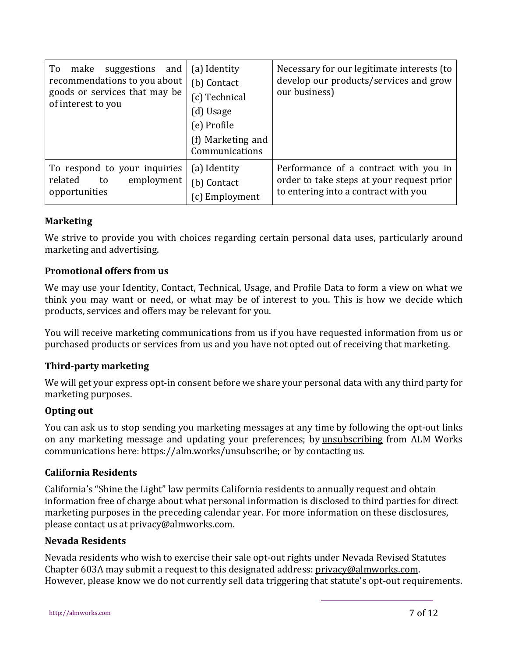| To<br>suggestions<br>make<br>and<br>recommendations to you about<br>goods or services that may be<br>of interest to you | (a) Identity<br>(b) Contact<br>(c) Technical<br>(d) Usage<br>(e) Profile<br>(f) Marketing and<br>Communications | Necessary for our legitimate interests (to<br>develop our products/services and grow<br>our business)                      |
|-------------------------------------------------------------------------------------------------------------------------|-----------------------------------------------------------------------------------------------------------------|----------------------------------------------------------------------------------------------------------------------------|
| To respond to your inquiries<br>employment<br>related<br>to<br>opportunities                                            | (a) Identity<br>(b) Contact<br>(c) Employment                                                                   | Performance of a contract with you in<br>order to take steps at your request prior<br>to entering into a contract with you |

### <span id="page-6-0"></span>**Marketing**

We strive to provide you with choices regarding certain personal data uses, particularly around marketing and advertising.

#### <span id="page-6-1"></span>**Promotional offers from us**

We may use your Identity, Contact, Technical, Usage, and Profile Data to form a view on what we think you may want or need, or what may be of interest to you. This is how we decide which products, services and offers may be relevant for you.

You will receive marketing communications from us if you have requested information from us or purchased products or services from us and you have not opted out of receiving that marketing.

#### <span id="page-6-2"></span>**Third-party marketing**

We will get your express opt-in consent before we share your personal data with any third party for marketing purposes.

#### <span id="page-6-3"></span>**Opting out**

You can ask us to stop sending you marketing messages at any time by following the opt-out links on any marketing message and updating your preferences; by [unsubscribing](https://alm.works/unsubscribe) from ALM Works communications here: https://alm.works/unsubscribe; or by contacting us.

#### <span id="page-6-4"></span>**California Residents**

California's "Shine the Light" law permits California residents to annually request and obtain information free of charge about what personal information is disclosed to third parties for direct marketing purposes in the preceding calendar year. For more information on these disclosures, please contact us at privacy@almworks.com.

#### <span id="page-6-5"></span>**Nevada Residents**

Nevada residents who wish to exercise their sale opt-out rights under Nevada Revised Statutes Chapter 603A may submit a request to this designated address: [privacy@almworks.com.](mailto:privacy@almworks.com)  However, please know we do not currently sell data triggering that statute's opt-out requirements.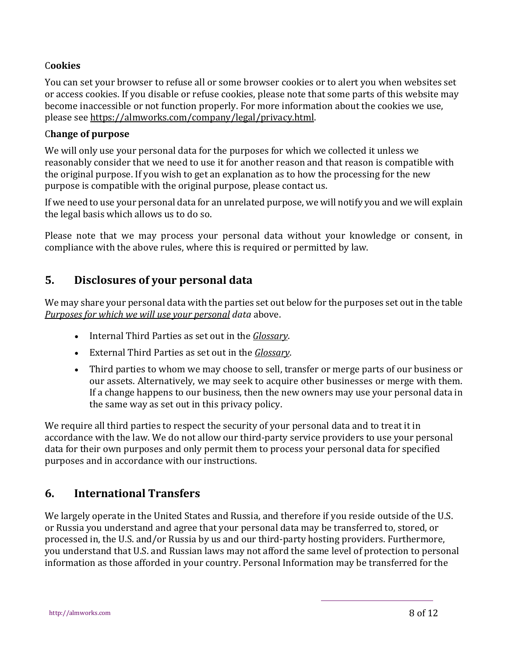## <span id="page-7-0"></span>C**ookies**

You can set your browser to refuse all or some browser cookies or to alert you when websites set or access cookies. If you disable or refuse cookies, please note that some parts of this website may become inaccessible or not function properly. For more information about the cookies we use, please see [https://almworks.com/company/legal/privacy.html.](https://almworks.com/company/legal/privacy.html)

### <span id="page-7-1"></span>C**hange of purpose**

We will only use your personal data for the purposes for which we collected it unless we reasonably consider that we need to use it for another reason and that reason is compatible with the original purpose. If you wish to get an explanation as to how the processing for the new purpose is compatible with the original purpose, please contact us.

If we need to use your personal data for an unrelated purpose, we will notify you and we will explain the legal basis which allows us to do so.

Please note that we may process your personal data without your knowledge or consent, in compliance with the above rules, where this is required or permitted by law.

## <span id="page-7-2"></span>**5. Disclosures of your personal data**

We may share your personal data with the parties set out below for the purposes set out in the table *[Purposes for which we will use your personal](https://docs.google.com/document/d/1keo7qyOhApmax9qspAlHB35v2F0f0Eda/edit#bookmark=id.3j2qqm3) data* above.

- Internal Third Parties as set out in the *[Glossary](https://docs.google.com/document/d/1keo7qyOhApmax9qspAlHB35v2F0f0Eda/edit#bookmark=id.3l18frh)*.
- External Third Parties as set out in the *[Glossary](https://docs.google.com/document/d/1keo7qyOhApmax9qspAlHB35v2F0f0Eda/edit#bookmark=id.3l18frh)*.
- Third parties to whom we may choose to sell, transfer or merge parts of our business or our assets. Alternatively, we may seek to acquire other businesses or merge with them. If a change happens to our business, then the new owners may use your personal data in the same way as set out in this privacy policy.

We require all third parties to respect the security of your personal data and to treat it in accordance with the law. We do not allow our third-party service providers to use your personal data for their own purposes and only permit them to process your personal data for specified purposes and in accordance with our instructions.

## <span id="page-7-3"></span>**6. International Transfers**

We largely operate in the United States and Russia, and therefore if you reside outside of the U.S. or Russia you understand and agree that your personal data may be transferred to, stored, or processed in, the U.S. and/or Russia by us and our third-party hosting providers. Furthermore, you understand that U.S. and Russian laws may not afford the same level of protection to personal information as those afforded in your country. Personal Information may be transferred for the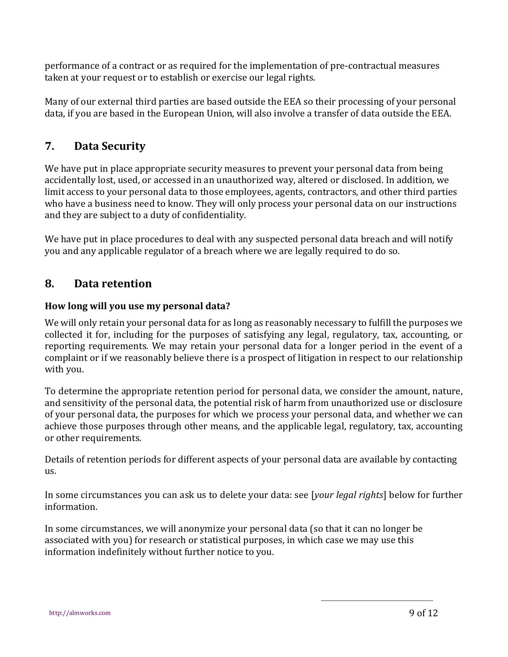performance of a contract or as required for the implementation of pre-contractual measures taken at your request or to establish or exercise our legal rights.

Many of our external third parties are based outside the EEA so their processing of your personal data, if you are based in the European Union, will also involve a transfer of data outside the EEA.

## <span id="page-8-0"></span>**7. Data Security**

We have put in place appropriate security measures to prevent your personal data from being accidentally lost, used, or accessed in an unauthorized way, altered or disclosed. In addition, we limit access to your personal data to those employees, agents, contractors, and other third parties who have a business need to know. They will only process your personal data on our instructions and they are subject to a duty of confidentiality.

We have put in place procedures to deal with any suspected personal data breach and will notify you and any applicable regulator of a breach where we are legally required to do so.

## <span id="page-8-1"></span>**8. Data retention**

## <span id="page-8-2"></span>**How long will you use my personal data?**

We will only retain your personal data for as long as reasonably necessary to fulfill the purposes we collected it for, including for the purposes of satisfying any legal, regulatory, tax, accounting, or reporting requirements. We may retain your personal data for a longer period in the event of a complaint or if we reasonably believe there is a prospect of litigation in respect to our relationship with you.

To determine the appropriate retention period for personal data, we consider the amount, nature, and sensitivity of the personal data, the potential risk of harm from unauthorized use or disclosure of your personal data, the purposes for which we process your personal data, and whether we can achieve those purposes through other means, and the applicable legal, regulatory, tax, accounting or other requirements.

Details of retention periods for different aspects of your personal data are available by contacting us.

In some circumstances you can ask us to delete your data: see [*your legal rights*] below for further information.

In some circumstances, we will anonymize your personal data (so that it can no longer be associated with you) for research or statistical purposes, in which case we may use this information indefinitely without further notice to you.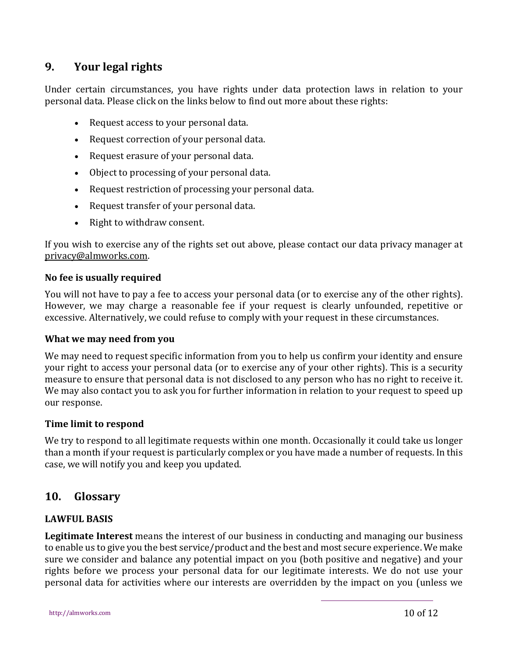## <span id="page-9-0"></span>**9. Your legal rights**

Under certain circumstances, you have rights under data protection laws in relation to your personal data. Please click on the links below to find out more about these rights:

- [Request access to your personal data.](https://docs.google.com/document/d/1keo7qyOhApmax9qspAlHB35v2F0f0Eda/edit#bookmark=id.1664s55)
- [Request correction of your personal data.](https://docs.google.com/document/d/1keo7qyOhApmax9qspAlHB35v2F0f0Eda/edit#bookmark=id.3q5sasy)
- [Request erasure of your personal data.](https://docs.google.com/document/d/1keo7qyOhApmax9qspAlHB35v2F0f0Eda/edit#bookmark=id.25b2l0r)
- [Object to processing of your personal data.](https://docs.google.com/document/d/1keo7qyOhApmax9qspAlHB35v2F0f0Eda/edit#bookmark=id.kgcv8k)
- [Request restriction of processing your personal data.](https://docs.google.com/document/d/1keo7qyOhApmax9qspAlHB35v2F0f0Eda/edit#bookmark=id.34g0dwd)
- [Request transfer of your personal data.](https://docs.google.com/document/d/1keo7qyOhApmax9qspAlHB35v2F0f0Eda/edit#bookmark=id.1jlao46)
- [Right to withdraw consent.](https://docs.google.com/document/d/1keo7qyOhApmax9qspAlHB35v2F0f0Eda/edit#bookmark=id.43ky6rz)

If you wish to exercise any of the rights set out above, please contact our data privacy manager at [privacy@almworks.com.](mailto:privacy@almworks.com)

### <span id="page-9-1"></span>**No fee is usually required**

You will not have to pay a fee to access your personal data (or to exercise any of the other rights). However, we may charge a reasonable fee if your request is clearly unfounded, repetitive or excessive. Alternatively, we could refuse to comply with your request in these circumstances.

#### <span id="page-9-2"></span>**What we may need from you**

We may need to request specific information from you to help us confirm your identity and ensure your right to access your personal data (or to exercise any of your other rights). This is a security measure to ensure that personal data is not disclosed to any person who has no right to receive it. We may also contact you to ask you for further information in relation to your request to speed up our response.

#### <span id="page-9-3"></span>**Time limit to respond**

We try to respond to all legitimate requests within one month. Occasionally it could take us longer than a month if your request is particularly complex or you have made a number of requests. In this case, we will notify you and keep you updated.

## <span id="page-9-4"></span>**10. Glossary**

### <span id="page-9-5"></span>**LAWFUL BASIS**

**Legitimate Interest** means the interest of our business in conducting and managing our business to enable us to give you the best service/product and the best and most secure experience. We make sure we consider and balance any potential impact on you (both positive and negative) and your rights before we process your personal data for our legitimate interests. We do not use your personal data for activities where our interests are overridden by the impact on you (unless we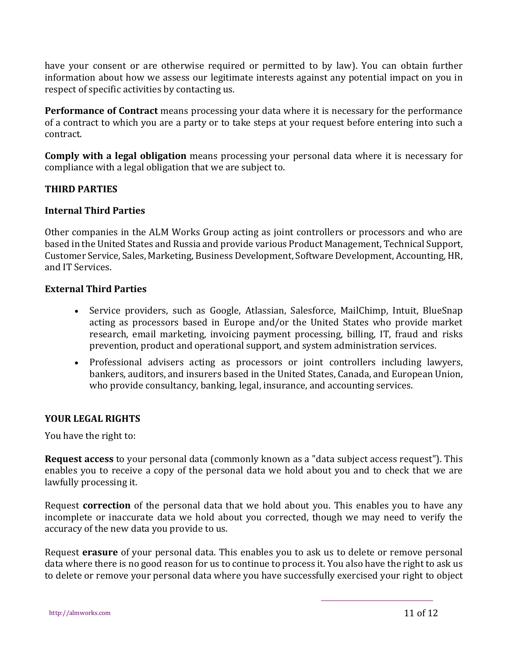have your consent or are otherwise required or permitted to by law). You can obtain further information about how we assess our legitimate interests against any potential impact on you in respect of specific activities by contacting us.

**Performance of Contract** means processing your data where it is necessary for the performance of a contract to which you are a party or to take steps at your request before entering into such a contract.

**Comply with a legal obligation** means processing your personal data where it is necessary for compliance with a legal obligation that we are subject to.

### <span id="page-10-0"></span>**THIRD PARTIES**

### **Internal Third Parties**

Other companies in the ALM Works Group acting as joint controllers or processors and who are based in the United States and Russia and provide various Product Management, Technical Support, Customer Service, Sales, Marketing, Business Development, Software Development, Accounting, HR, and IT Services.

### **External Third Parties**

- Service providers, such as Google, Atlassian, Salesforce, MailChimp, Intuit, BlueSnap acting as processors based in Europe and/or the United States who provide market research, email marketing, invoicing payment processing, billing, IT, fraud and risks prevention, product and operational support, and system administration services.
- Professional advisers acting as processors or joint controllers including lawyers, bankers, auditors, and insurers based in the United States, Canada, and European Union, who provide consultancy, banking, legal, insurance, and accounting services.

### <span id="page-10-1"></span>**YOUR LEGAL RIGHTS**

You have the right to:

**Request access** to your personal data (commonly known as a "data subject access request"). This enables you to receive a copy of the personal data we hold about you and to check that we are lawfully processing it.

Request **correction** of the personal data that we hold about you. This enables you to have any incomplete or inaccurate data we hold about you corrected, though we may need to verify the accuracy of the new data you provide to us.

Request **erasure** of your personal data. This enables you to ask us to delete or remove personal data where there is no good reason for us to continue to process it. You also have the right to ask us to delete or remove your personal data where you have successfully exercised your right to object